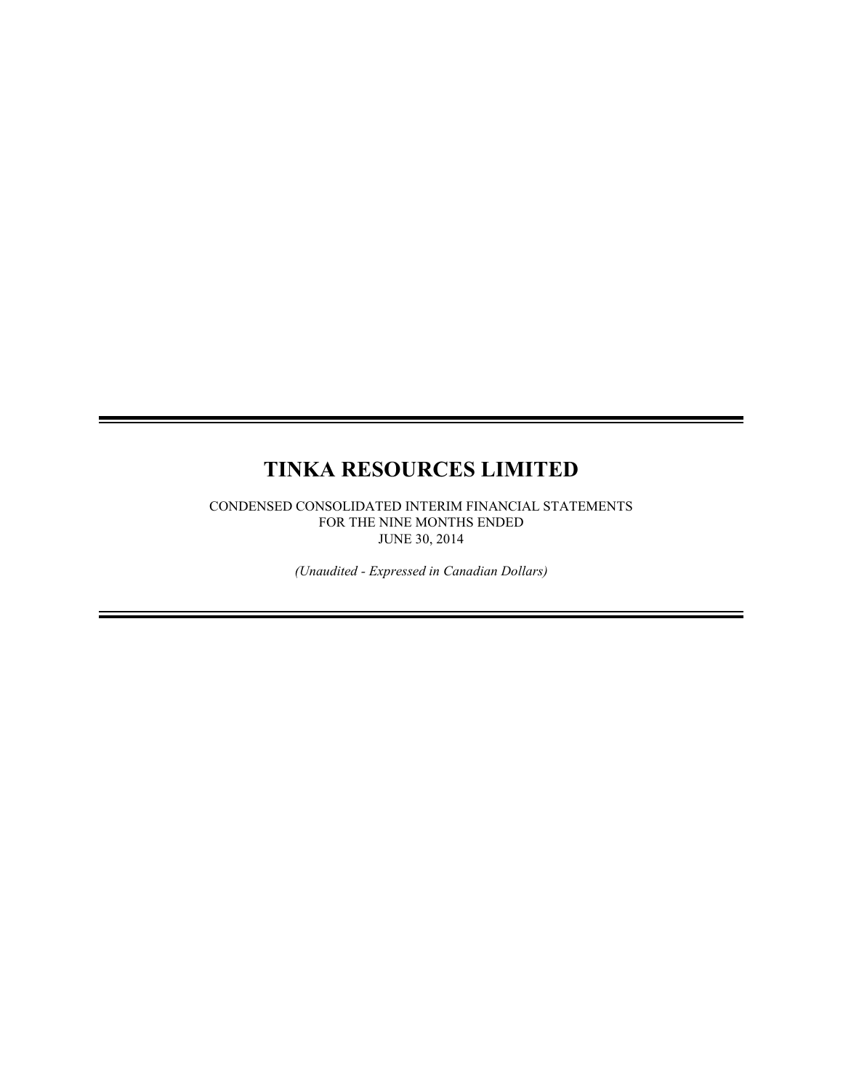# **TINKA RESOURCES LIMITED**

CONDENSED CONSOLIDATED INTERIM FINANCIAL STATEMENTS FOR THE NINE MONTHS ENDED JUNE 30, 2014

*(Unaudited - Expressed in Canadian Dollars)*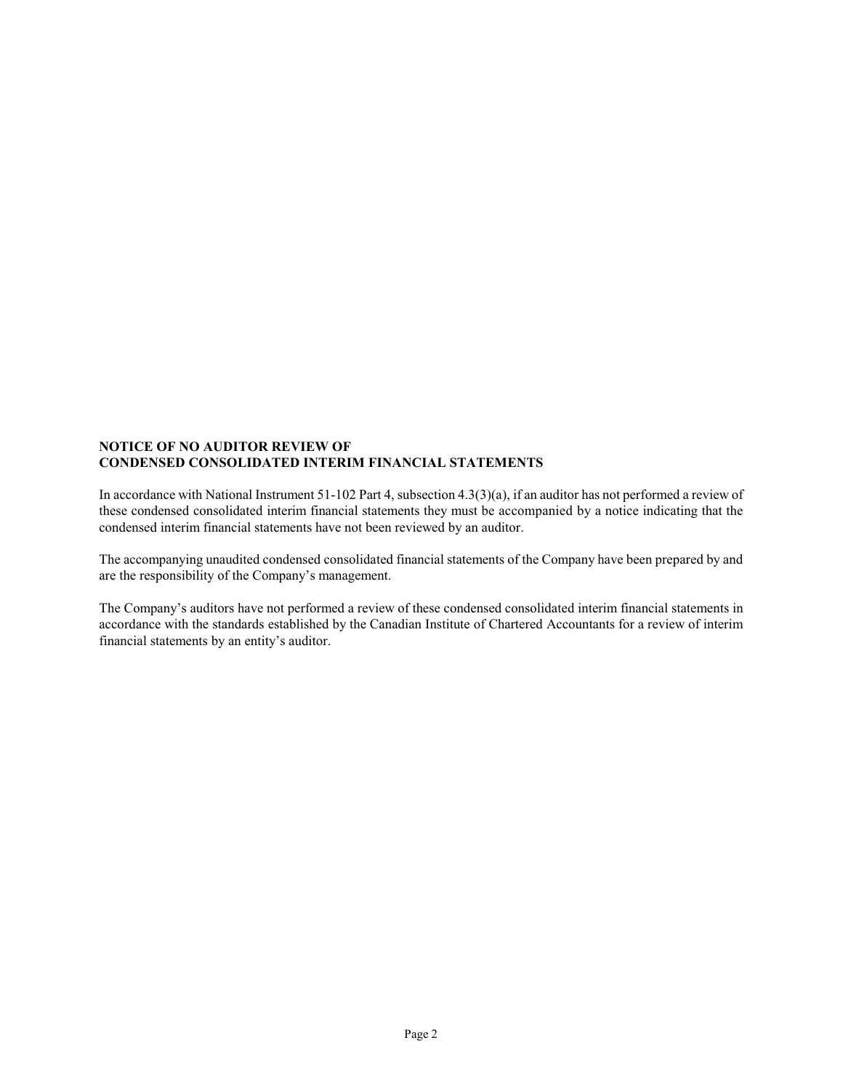### **NOTICE OF NO AUDITOR REVIEW OF CONDENSED CONSOLIDATED INTERIM FINANCIAL STATEMENTS**

In accordance with National Instrument 51-102 Part 4, subsection 4.3(3)(a), if an auditor has not performed a review of these condensed consolidated interim financial statements they must be accompanied by a notice indicating that the condensed interim financial statements have not been reviewed by an auditor.

The accompanying unaudited condensed consolidated financial statements of the Company have been prepared by and are the responsibility of the Company's management.

The Company's auditors have not performed a review of these condensed consolidated interim financial statements in accordance with the standards established by the Canadian Institute of Chartered Accountants for a review of interim financial statements by an entity's auditor.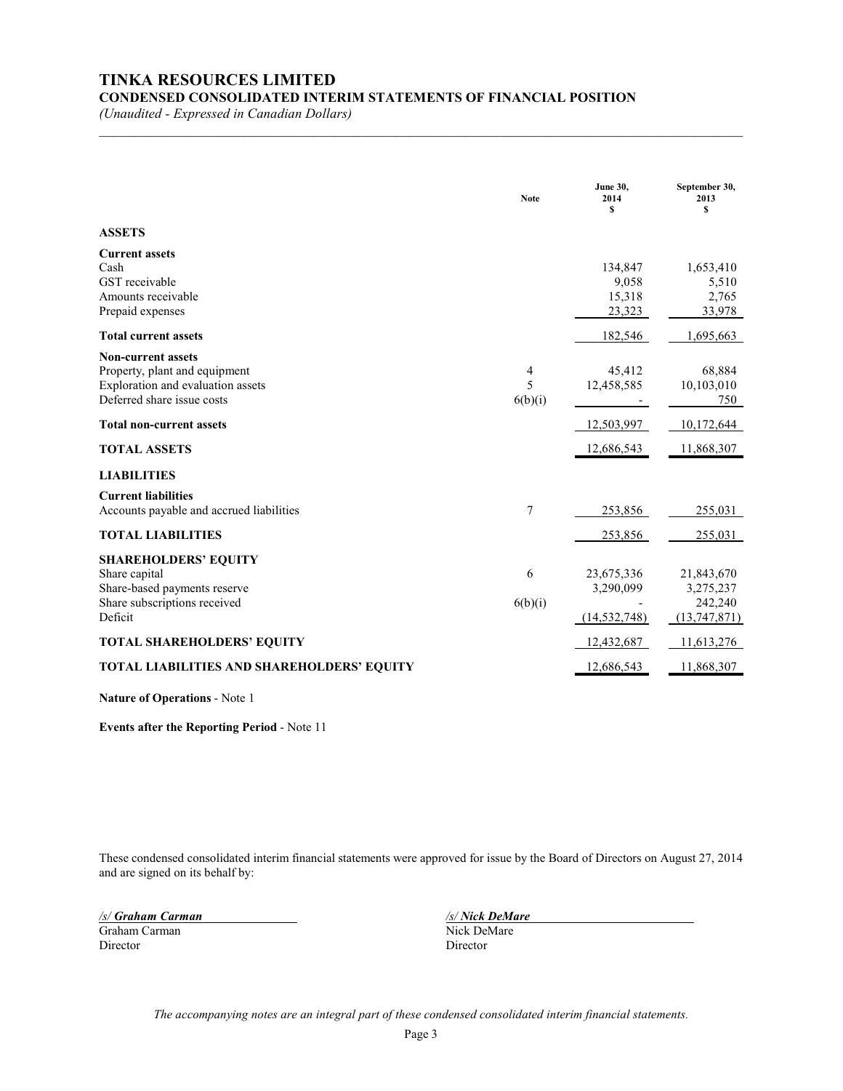# **TINKA RESOURCES LIMITED**

**CONDENSED CONSOLIDATED INTERIM STATEMENTS OF FINANCIAL POSITION**

*(Unaudited - Expressed in Canadian Dollars)*

|                                                                                                                               | <b>Note</b>       | <b>June 30.</b><br>2014<br>\$             | September 30,<br>2013<br>S                         |
|-------------------------------------------------------------------------------------------------------------------------------|-------------------|-------------------------------------------|----------------------------------------------------|
| <b>ASSETS</b>                                                                                                                 |                   |                                           |                                                    |
| <b>Current assets</b><br>Cash<br>GST receivable<br>Amounts receivable<br>Prepaid expenses                                     |                   | 134,847<br>9,058<br>15,318<br>23,323      | 1,653,410<br>5,510<br>2,765<br>33,978              |
| <b>Total current assets</b>                                                                                                   |                   | 182,546                                   | 1,695,663                                          |
| <b>Non-current assets</b><br>Property, plant and equipment<br>Exploration and evaluation assets<br>Deferred share issue costs | 4<br>5<br>6(b)(i) | 45,412<br>12,458,585                      | 68,884<br>10,103,010<br>750                        |
| <b>Total non-current assets</b>                                                                                               |                   | 12,503,997                                | 10,172,644                                         |
| <b>TOTAL ASSETS</b>                                                                                                           |                   | 12,686,543                                | 11,868,307                                         |
| <b>LIABILITIES</b>                                                                                                            |                   |                                           |                                                    |
| <b>Current liabilities</b><br>Accounts payable and accrued liabilities                                                        | 7                 | 253,856                                   | 255,031                                            |
| <b>TOTAL LIABILITIES</b>                                                                                                      |                   | 253,856                                   | 255,031                                            |
| <b>SHAREHOLDERS' EQUITY</b><br>Share capital<br>Share-based payments reserve<br>Share subscriptions received<br>Deficit       | 6<br>6(b)(i)      | 23,675,336<br>3,290,099<br>(14, 532, 748) | 21,843,670<br>3,275,237<br>242,240<br>(13,747,871) |
| TOTAL SHAREHOLDERS' EQUITY                                                                                                    |                   | 12,432,687                                | 11,613,276                                         |
| TOTAL LIABILITIES AND SHAREHOLDERS' EQUITY                                                                                    |                   | 12,686,543                                | 11,868,307                                         |

 $\mathcal{L}_\mathcal{L} = \{ \mathcal{L}_\mathcal{L} = \{ \mathcal{L}_\mathcal{L} = \{ \mathcal{L}_\mathcal{L} = \{ \mathcal{L}_\mathcal{L} = \{ \mathcal{L}_\mathcal{L} = \{ \mathcal{L}_\mathcal{L} = \{ \mathcal{L}_\mathcal{L} = \{ \mathcal{L}_\mathcal{L} = \{ \mathcal{L}_\mathcal{L} = \{ \mathcal{L}_\mathcal{L} = \{ \mathcal{L}_\mathcal{L} = \{ \mathcal{L}_\mathcal{L} = \{ \mathcal{L}_\mathcal{L} = \{ \mathcal{L}_\mathcal{$ 

**Nature of Operations** - Note 1

**Events after the Reporting Period** - Note 11

These condensed consolidated interim financial statements were approved for issue by the Board of Directors on August 27, 2014 and are signed on its behalf by:

Graham Carman Nick Del Director Nick Del Director Director Director

*/s/ Graham Carman /s/ Nick DeMare*

*The accompanying notes are an integral part of these condensed consolidated interim financial statements.*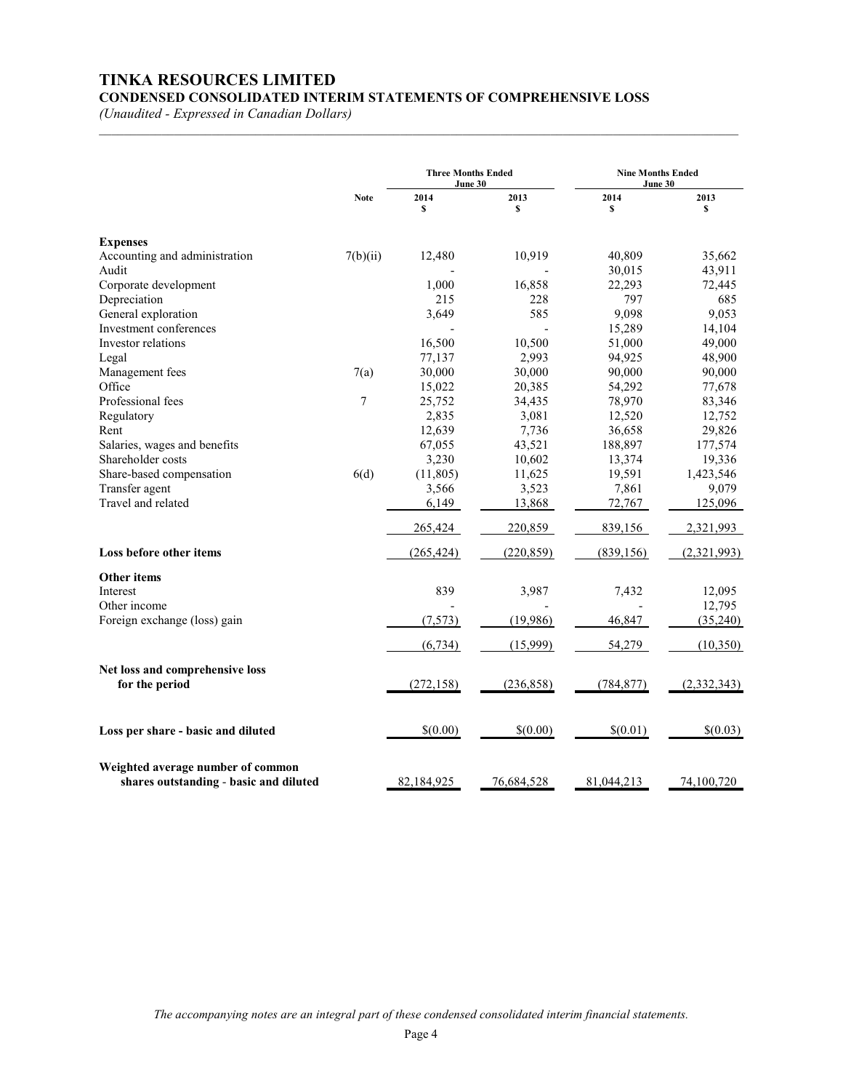# **TINKA RESOURCES LIMITED**

**CONDENSED CONSOLIDATED INTERIM STATEMENTS OF COMPREHENSIVE LOSS**

 $\mathcal{L}_\text{max} = \mathcal{L}_\text{max} = \mathcal{L}_\text{max} = \mathcal{L}_\text{max} = \mathcal{L}_\text{max} = \mathcal{L}_\text{max} = \mathcal{L}_\text{max} = \mathcal{L}_\text{max} = \mathcal{L}_\text{max} = \mathcal{L}_\text{max} = \mathcal{L}_\text{max} = \mathcal{L}_\text{max} = \mathcal{L}_\text{max} = \mathcal{L}_\text{max} = \mathcal{L}_\text{max} = \mathcal{L}_\text{max} = \mathcal{L}_\text{max} = \mathcal{L}_\text{max} = \mathcal{$ 

*(Unaudited - Expressed in Canadian Dollars)*

|                                                                             | <b>Three Months Ended</b><br>June 30 |            |            |            | <b>Nine Months Ended</b><br>June 30 |  |  |
|-----------------------------------------------------------------------------|--------------------------------------|------------|------------|------------|-------------------------------------|--|--|
|                                                                             | <b>Note</b>                          | 2014<br>\$ | 2013<br>\$ | 2014<br>\$ | 2013<br>\$                          |  |  |
| <b>Expenses</b>                                                             |                                      |            |            |            |                                     |  |  |
| Accounting and administration                                               | 7(b)(ii)                             | 12,480     | 10,919     | 40,809     | 35,662                              |  |  |
| Audit                                                                       |                                      |            |            | 30,015     | 43,911                              |  |  |
| Corporate development                                                       |                                      | 1,000      | 16,858     | 22,293     | 72,445                              |  |  |
| Depreciation                                                                |                                      | 215        | 228        | 797        | 685                                 |  |  |
| General exploration                                                         |                                      | 3,649      | 585        | 9,098      | 9,053                               |  |  |
| Investment conferences                                                      |                                      |            |            | 15,289     | 14,104                              |  |  |
| Investor relations                                                          |                                      | 16,500     | 10,500     | 51,000     | 49,000                              |  |  |
| Legal                                                                       |                                      | 77,137     | 2,993      | 94,925     | 48,900                              |  |  |
| Management fees                                                             | 7(a)                                 | 30,000     | 30,000     | 90,000     | 90,000                              |  |  |
| Office                                                                      |                                      | 15,022     | 20,385     | 54,292     | 77,678                              |  |  |
| Professional fees                                                           | $\tau$                               | 25,752     | 34,435     | 78,970     | 83,346                              |  |  |
| Regulatory                                                                  |                                      | 2,835      | 3,081      | 12,520     | 12,752                              |  |  |
| Rent                                                                        |                                      | 12,639     | 7,736      | 36,658     | 29,826                              |  |  |
| Salaries, wages and benefits                                                |                                      | 67,055     | 43,521     | 188,897    | 177,574                             |  |  |
| Shareholder costs                                                           |                                      | 3,230      | 10,602     | 13,374     | 19,336                              |  |  |
| Share-based compensation                                                    | 6(d)                                 | (11, 805)  | 11,625     | 19,591     | 1,423,546                           |  |  |
| Transfer agent                                                              |                                      | 3,566      | 3,523      | 7,861      | 9,079                               |  |  |
| Travel and related                                                          |                                      | 6,149      | 13,868     | 72,767     | 125,096                             |  |  |
|                                                                             |                                      | 265,424    | 220,859    | 839,156    | 2,321,993                           |  |  |
| Loss before other items                                                     |                                      | (265, 424) | (220, 859) | (839, 156) | (2,321,993)                         |  |  |
| Other items                                                                 |                                      |            |            |            |                                     |  |  |
| Interest                                                                    |                                      | 839        | 3,987      | 7,432      | 12,095                              |  |  |
| Other income<br>Foreign exchange (loss) gain                                |                                      | (7,573)    | (19,986)   | 46,847     | 12,795<br>(35,240)                  |  |  |
|                                                                             |                                      |            |            |            |                                     |  |  |
|                                                                             |                                      | (6, 734)   | (15,999)   | 54,279     | (10,350)                            |  |  |
| Net loss and comprehensive loss                                             |                                      |            |            |            |                                     |  |  |
| for the period                                                              |                                      | (272, 158) | (236, 858) | (784, 877) | (2,332,343)                         |  |  |
| Loss per share - basic and diluted                                          |                                      | \$(0.00)   | \$(0.00)   | \$(0.01)   | \$(0.03)                            |  |  |
| Weighted average number of common<br>shares outstanding - basic and diluted |                                      | 82,184,925 | 76,684,528 | 81,044,213 | 74,100,720                          |  |  |

*The accompanying notes are an integral part of these condensed consolidated interim financial statements.*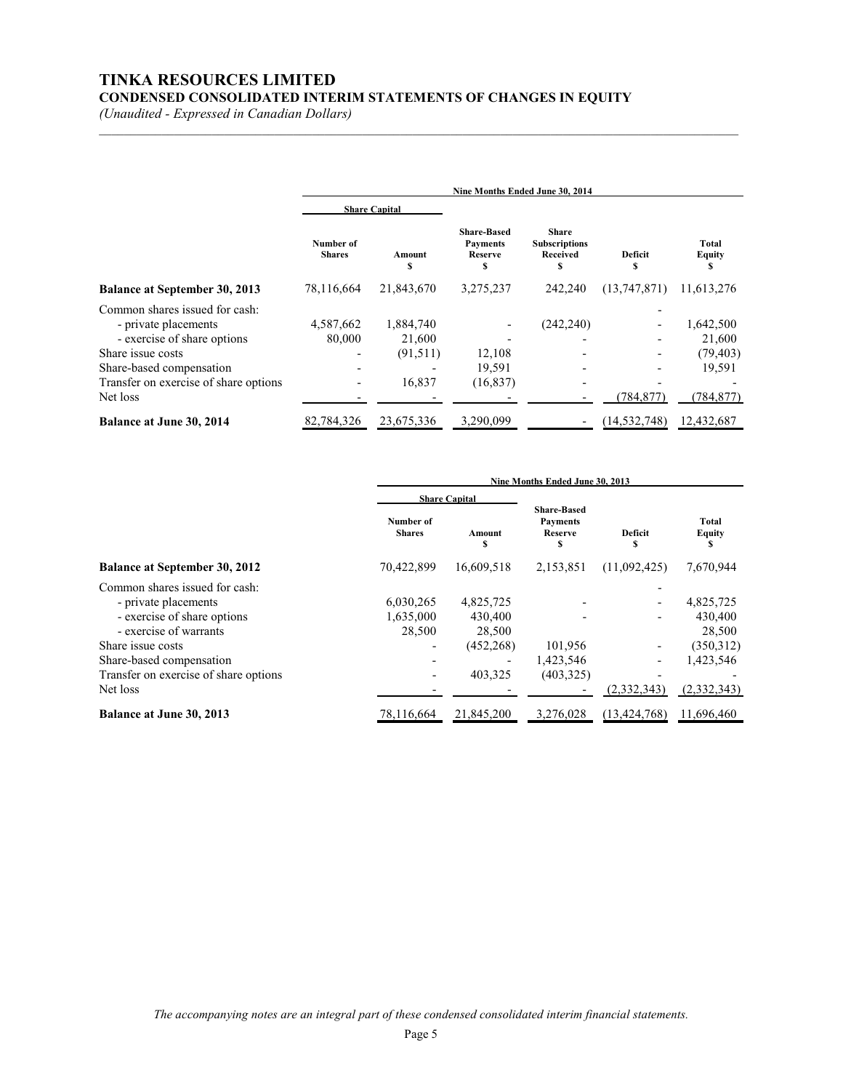# **TINKA RESOURCES LIMITED CONDENSED CONSOLIDATED INTERIM STATEMENTS OF CHANGES IN EQUITY**

*(Unaudited - Expressed in Canadian Dollars)*

|                                                                                                                                        | Nine Months Ended June 30, 2014 |                                           |                                                         |                                                        |                |                                            |
|----------------------------------------------------------------------------------------------------------------------------------------|---------------------------------|-------------------------------------------|---------------------------------------------------------|--------------------------------------------------------|----------------|--------------------------------------------|
|                                                                                                                                        |                                 | <b>Share Capital</b>                      |                                                         |                                                        |                |                                            |
|                                                                                                                                        | Number of<br><b>Shares</b>      | Amount                                    | <b>Share-Based</b><br><b>Payments</b><br><b>Reserve</b> | <b>Share</b><br><b>Subscriptions</b><br>Received<br>\$ | Deficit<br>S   | Total<br><b>Equity</b>                     |
| <b>Balance at September 30, 2013</b>                                                                                                   | 78,116,664                      | 21,843,670                                | 3,275,237                                               | 242,240                                                | (13, 747, 871) | 11,613,276                                 |
| Common shares issued for cash:<br>- private placements<br>- exercise of share options<br>Share issue costs<br>Share-based compensation | 4,587,662<br>80,000             | 1,884,740<br>21,600<br>(91,511)<br>16,837 | 12,108<br>19,591                                        | (242, 240)                                             |                | 1,642,500<br>21,600<br>(79, 403)<br>19,591 |
| Transfer on exercise of share options<br>Net loss                                                                                      |                                 |                                           | (16, 837)                                               |                                                        | (784,877)      | (784, 877)                                 |
| Balance at June 30, 2014                                                                                                               | 82.784.326                      | 23,675,336                                | 3,290,099                                               |                                                        | (14, 532, 748) | 12,432,687                                 |

 $\mathcal{L}_\text{max} = \mathcal{L}_\text{max} = \mathcal{L}_\text{max} = \mathcal{L}_\text{max} = \mathcal{L}_\text{max} = \mathcal{L}_\text{max} = \mathcal{L}_\text{max} = \mathcal{L}_\text{max} = \mathcal{L}_\text{max} = \mathcal{L}_\text{max} = \mathcal{L}_\text{max} = \mathcal{L}_\text{max} = \mathcal{L}_\text{max} = \mathcal{L}_\text{max} = \mathcal{L}_\text{max} = \mathcal{L}_\text{max} = \mathcal{L}_\text{max} = \mathcal{L}_\text{max} = \mathcal{$ 

|                                                                                                                                                                                                                       | Nine Months Ended June 30, 2013  |                                                         |                                                        |                |                                                                         |
|-----------------------------------------------------------------------------------------------------------------------------------------------------------------------------------------------------------------------|----------------------------------|---------------------------------------------------------|--------------------------------------------------------|----------------|-------------------------------------------------------------------------|
|                                                                                                                                                                                                                       | <b>Share Capital</b>             |                                                         |                                                        |                |                                                                         |
|                                                                                                                                                                                                                       | Number of<br><b>Shares</b>       | Amount<br>S                                             | <b>Share-Based</b><br><b>Payments</b><br>Reserve<br>\$ | Deficit<br>s   | Total<br><b>Equity</b>                                                  |
| <b>Balance at September 30, 2012</b>                                                                                                                                                                                  | 70,422,899                       | 16.609.518                                              | 2,153,851                                              | (11,092,425)   | 7,670,944                                                               |
| Common shares issued for cash:<br>- private placements<br>- exercise of share options<br>- exercise of warrants<br>Share issue costs<br>Share-based compensation<br>Transfer on exercise of share options<br>Net loss | 6,030,265<br>1,635,000<br>28,500 | 4,825,725<br>430,400<br>28,500<br>(452, 268)<br>403,325 | 101,956<br>1,423,546<br>(403, 325)                     | (2,332,343)    | 4,825,725<br>430,400<br>28,500<br>(350,312)<br>1,423,546<br>(2,332,343) |
| Balance at June 30, 2013                                                                                                                                                                                              | 78,116,664                       | 21,845,200                                              | 3,276,028                                              | (13, 424, 768) | 11,696,460                                                              |

*The accompanying notes are an integral part of these condensed consolidated interim financial statements.*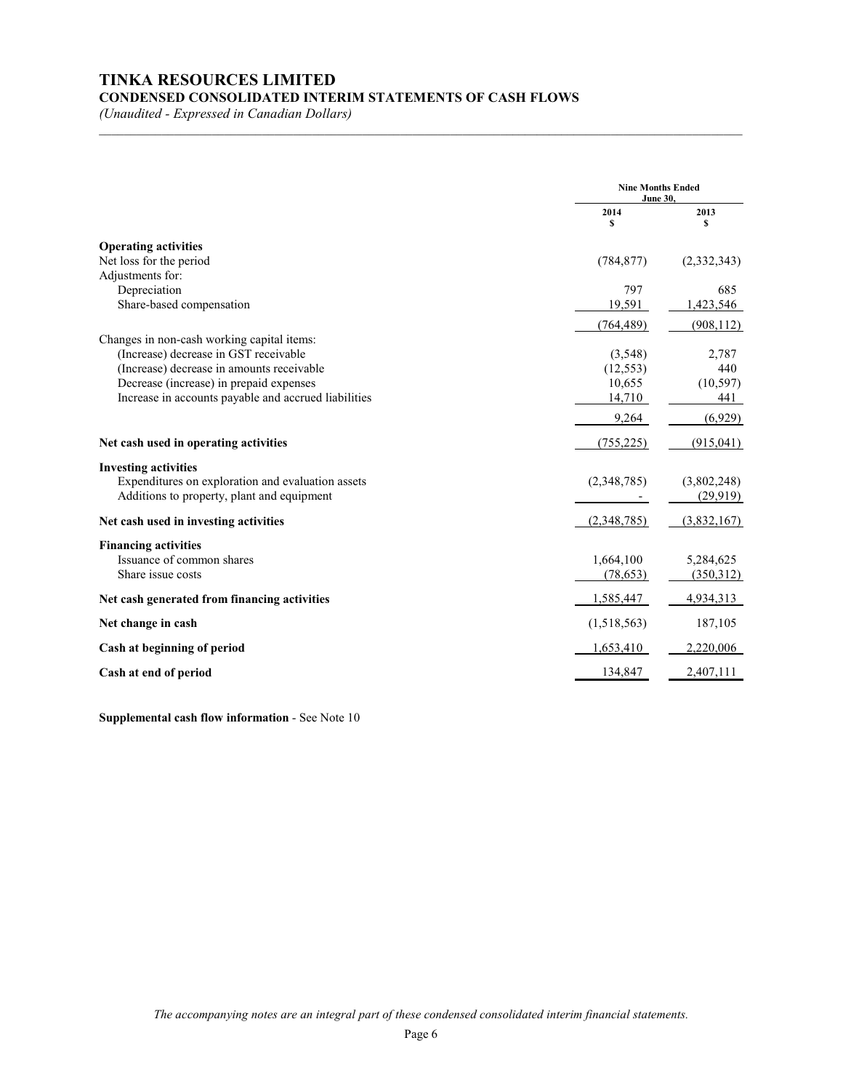# **TINKA RESOURCES LIMITED CONDENSED CONSOLIDATED INTERIM STATEMENTS OF CASH FLOWS**

*(Unaudited - Expressed in Canadian Dollars)*

|                                                                                                                                                                                                                                     | <b>Nine Months Ended</b><br><b>June 30,</b>            |                                                |
|-------------------------------------------------------------------------------------------------------------------------------------------------------------------------------------------------------------------------------------|--------------------------------------------------------|------------------------------------------------|
|                                                                                                                                                                                                                                     | 2014<br>\$                                             | 2013<br>s                                      |
| <b>Operating activities</b><br>Net loss for the period                                                                                                                                                                              | (784, 877)                                             | (2,332,343)                                    |
| Adjustments for:<br>Depreciation<br>Share-based compensation                                                                                                                                                                        | 797<br>19,591                                          | 685<br>1,423,546                               |
| Changes in non-cash working capital items:<br>(Increase) decrease in GST receivable<br>(Increase) decrease in amounts receivable<br>Decrease (increase) in prepaid expenses<br>Increase in accounts payable and accrued liabilities | (764, 489)<br>(3,548)<br>(12, 553)<br>10,655<br>14,710 | (908, 112)<br>2,787<br>440<br>(10, 597)<br>441 |
| Net cash used in operating activities                                                                                                                                                                                               | 9,264<br>(755, 225)                                    | (6,929)<br>(915, 041)                          |
| <b>Investing activities</b><br>Expenditures on exploration and evaluation assets<br>Additions to property, plant and equipment                                                                                                      | (2,348,785)                                            | (3,802,248)<br>(29,919)                        |
| Net cash used in investing activities                                                                                                                                                                                               | (2,348,785)                                            | (3,832,167)                                    |
| <b>Financing activities</b><br>Issuance of common shares<br>Share issue costs                                                                                                                                                       | 1,664,100<br>(78, 653)                                 | 5,284,625<br>(350,312)                         |
| Net cash generated from financing activities                                                                                                                                                                                        | 1,585,447                                              | 4,934,313                                      |
| Net change in cash                                                                                                                                                                                                                  | (1,518,563)                                            | 187,105                                        |
| Cash at beginning of period                                                                                                                                                                                                         | 1,653,410                                              | 2,220,006                                      |
| Cash at end of period                                                                                                                                                                                                               | 134,847                                                | 2,407,111                                      |

\_\_\_\_\_\_\_\_\_\_\_\_\_\_\_\_\_\_\_\_\_\_\_\_\_\_\_\_\_\_\_\_\_\_\_\_\_\_\_\_\_\_\_\_\_\_\_\_\_\_\_\_\_\_\_\_\_\_\_\_\_\_\_\_\_\_\_\_\_\_\_\_\_\_\_\_\_\_\_\_\_\_\_\_\_\_\_\_\_\_\_\_\_\_\_\_\_\_\_\_\_\_\_

**Supplemental cash flow information** - See Note 10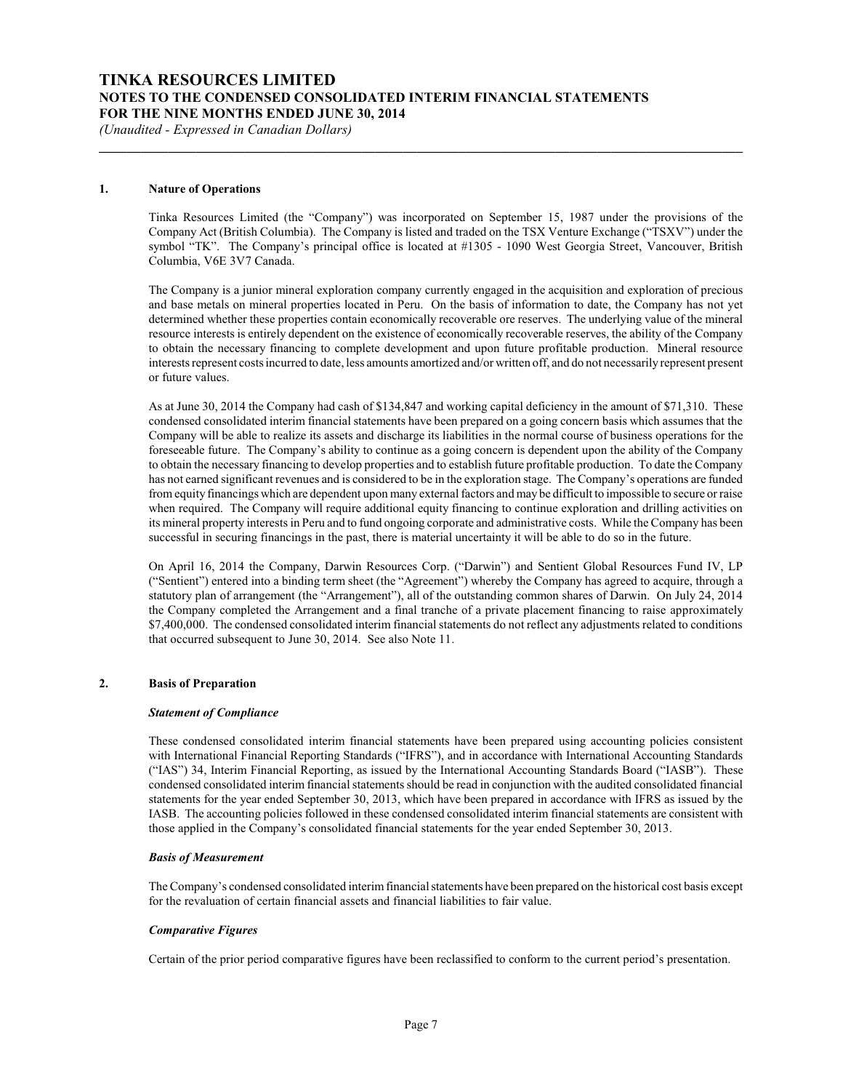# **TINKA RESOURCES LIMITED NOTES TO THE CONDENSED CONSOLIDATED INTERIM FINANCIAL STATEMENTS FOR THE NINE MONTHS ENDED JUNE 30, 2014**

*(Unaudited - Expressed in Canadian Dollars)*

#### **1. Nature of Operations**

Tinka Resources Limited (the "Company") was incorporated on September 15, 1987 under the provisions of the Company Act (British Columbia). The Company is listed and traded on the TSX Venture Exchange ("TSXV") under the symbol "TK". The Company's principal office is located at #1305 - 1090 West Georgia Street, Vancouver, British Columbia, V6E 3V7 Canada.

**\_\_\_\_\_\_\_\_\_\_\_\_\_\_\_\_\_\_\_\_\_\_\_\_\_\_\_\_\_\_\_\_\_\_\_\_\_\_\_\_\_\_\_\_\_\_\_\_\_\_\_\_\_\_\_\_\_\_\_\_\_\_\_\_\_\_\_\_\_\_\_\_\_\_\_\_\_\_\_\_\_\_\_\_\_\_\_\_\_\_\_\_\_**

The Company is a junior mineral exploration company currently engaged in the acquisition and exploration of precious and base metals on mineral properties located in Peru. On the basis of information to date, the Company has not yet determined whether these properties contain economically recoverable ore reserves. The underlying value of the mineral resource interests is entirely dependent on the existence of economically recoverable reserves, the ability of the Company to obtain the necessary financing to complete development and upon future profitable production. Mineral resource interests represent costs incurred to date, less amounts amortized and/or written off, and do not necessarily represent present or future values.

As at June 30, 2014 the Company had cash of \$134,847 and working capital deficiency in the amount of \$71,310. These condensed consolidated interim financial statements have been prepared on a going concern basis which assumes that the Company will be able to realize its assets and discharge its liabilities in the normal course of business operations for the foreseeable future. The Company's ability to continue as a going concern is dependent upon the ability of the Company to obtain the necessary financing to develop properties and to establish future profitable production. To date the Company has not earned significant revenues and is considered to be in the exploration stage. The Company's operations are funded from equity financings which are dependent upon many external factors and may be difficult to impossible to secure or raise when required. The Company will require additional equity financing to continue exploration and drilling activities on its mineral property interests in Peru and to fund ongoing corporate and administrative costs. While the Company has been successful in securing financings in the past, there is material uncertainty it will be able to do so in the future.

On April 16, 2014 the Company, Darwin Resources Corp. ("Darwin") and Sentient Global Resources Fund IV, LP ("Sentient") entered into a binding term sheet (the "Agreement") whereby the Company has agreed to acquire, through a statutory plan of arrangement (the "Arrangement"), all of the outstanding common shares of Darwin. On July 24, 2014 the Company completed the Arrangement and a final tranche of a private placement financing to raise approximately \$7,400,000. The condensed consolidated interim financial statements do not reflect any adjustments related to conditions that occurred subsequent to June 30, 2014. See also Note 11.

#### **2. Basis of Preparation**

#### *Statement of Compliance*

These condensed consolidated interim financial statements have been prepared using accounting policies consistent with International Financial Reporting Standards ("IFRS"), and in accordance with International Accounting Standards ("IAS") 34, Interim Financial Reporting, as issued by the International Accounting Standards Board ("IASB"). These condensed consolidated interim financial statements should be read in conjunction with the audited consolidated financial statements for the year ended September 30, 2013, which have been prepared in accordance with IFRS as issued by the IASB. The accounting policies followed in these condensed consolidated interim financial statements are consistent with those applied in the Company's consolidated financial statements for the year ended September 30, 2013.

#### *Basis of Measurement*

The Company's condensed consolidated interim financial statements have been prepared on the historical cost basis except for the revaluation of certain financial assets and financial liabilities to fair value.

#### *Comparative Figures*

Certain of the prior period comparative figures have been reclassified to conform to the current period's presentation.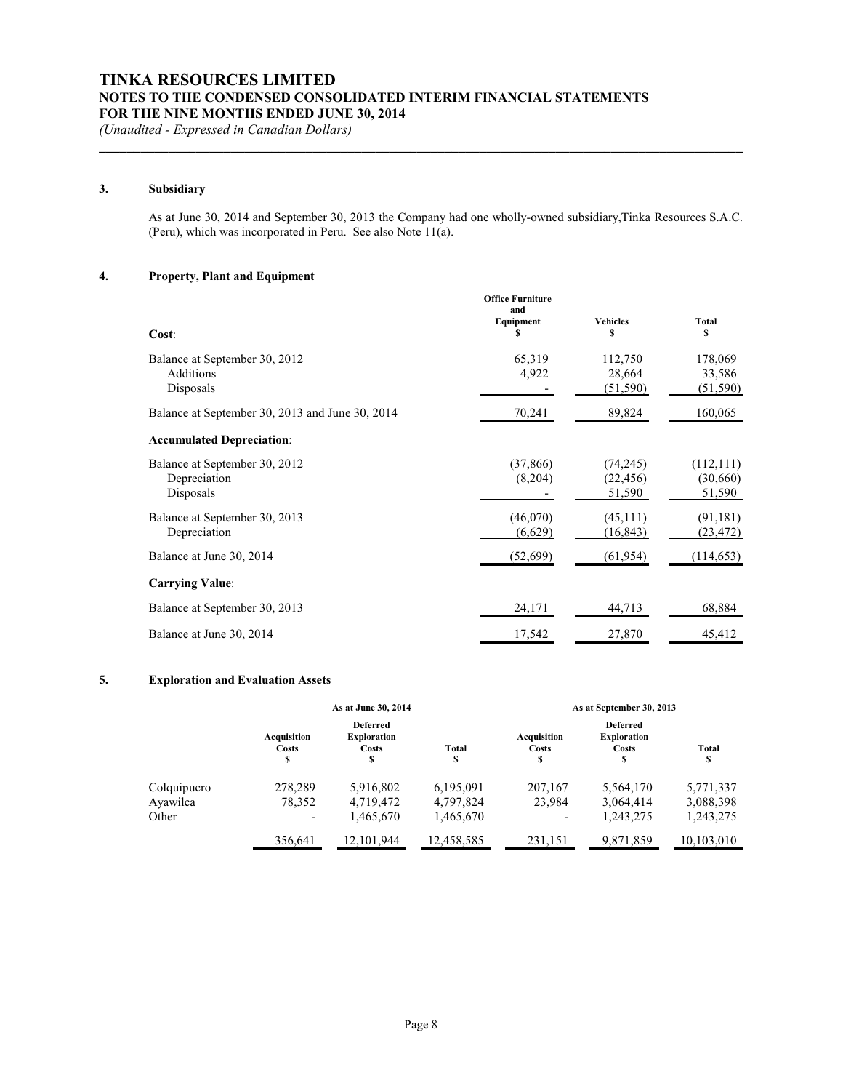### **3. Subsidiary**

As at June 30, 2014 and September 30, 2013 the Company had one wholly-owned subsidiary,Tinka Resources S.A.C. (Peru), which was incorporated in Peru. See also Note 11(a).

**\_\_\_\_\_\_\_\_\_\_\_\_\_\_\_\_\_\_\_\_\_\_\_\_\_\_\_\_\_\_\_\_\_\_\_\_\_\_\_\_\_\_\_\_\_\_\_\_\_\_\_\_\_\_\_\_\_\_\_\_\_\_\_\_\_\_\_\_\_\_\_\_\_\_\_\_\_\_\_\_\_\_\_\_\_\_\_\_\_\_\_\_\_**

#### **4. Property, Plant and Equipment**

|                                                            | <b>Office Furniture</b><br>and |                                  |                                  |
|------------------------------------------------------------|--------------------------------|----------------------------------|----------------------------------|
| Cost:                                                      | Equipment<br>\$                | <b>Vehicles</b><br>\$            | Total<br>s                       |
| Balance at September 30, 2012<br>Additions<br>Disposals    | 65,319<br>4,922                | 112,750<br>28,664<br>(51, 590)   | 178,069<br>33,586<br>(51, 590)   |
| Balance at September 30, 2013 and June 30, 2014            | 70,241                         | 89,824                           | 160,065                          |
| <b>Accumulated Depreciation:</b>                           |                                |                                  |                                  |
| Balance at September 30, 2012<br>Depreciation<br>Disposals | (37, 866)<br>(8,204)           | (74, 245)<br>(22, 456)<br>51,590 | (112, 111)<br>(30,660)<br>51,590 |
| Balance at September 30, 2013<br>Depreciation              | (46,070)<br>(6,629)            | (45,111)<br>(16, 843)            | (91, 181)<br>(23, 472)           |
| Balance at June 30, 2014                                   | (52, 699)                      | (61, 954)                        | (114, 653)                       |
| <b>Carrying Value:</b>                                     |                                |                                  |                                  |
| Balance at September 30, 2013                              | 24,171                         | 44,713                           | 68,884                           |
| Balance at June 30, 2014                                   | 17,542                         | 27,870                           | 45,412                           |

#### **5. Exploration and Evaluation Assets**

|                   | As at June 30, 2014              |                                                     |                        | As at September 30, 2013  |                                                             |                        |  |
|-------------------|----------------------------------|-----------------------------------------------------|------------------------|---------------------------|-------------------------------------------------------------|------------------------|--|
|                   | Acquisition<br><b>Costs</b><br>S | <b>Deferred</b><br><b>Exploration</b><br>Costs<br>s | Total<br>\$            | Acquisition<br>Costs<br>S | <b>Deferred</b><br><b>Exploration</b><br><b>Costs</b><br>\$ | Total<br>\$            |  |
| Colquipucro       | 278,289                          | 5,916,802                                           | 6,195,091              | 207,167                   | 5,564,170                                                   | 5,771,337              |  |
| Ayawilca<br>Other | 78,352                           | 4,719,472<br>1,465,670                              | 4,797,824<br>1,465,670 | 23.984                    | 3,064,414<br>1,243,275                                      | 3,088,398<br>1,243,275 |  |
|                   | 356,641                          | 12,101,944                                          | 12,458,585             | 231,151                   | 9,871,859                                                   | 10,103,010             |  |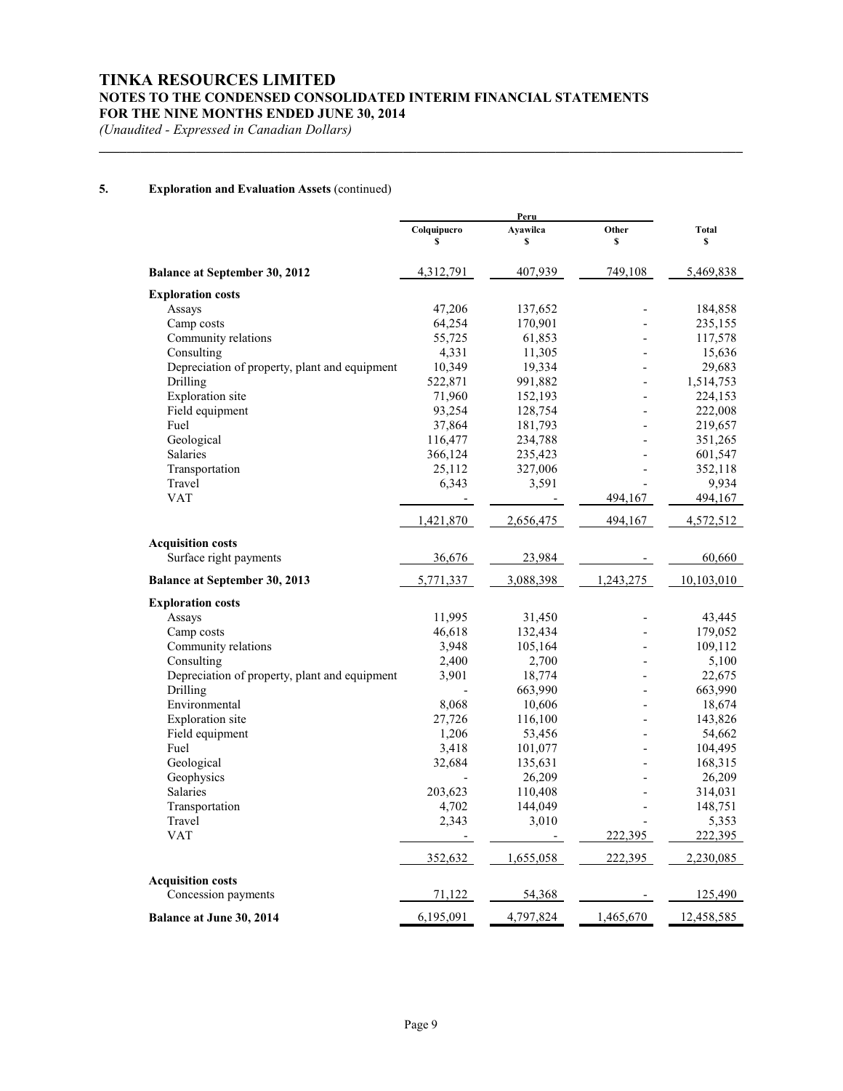# **TINKA RESOURCES LIMITED NOTES TO THE CONDENSED CONSOLIDATED INTERIM FINANCIAL STATEMENTS FOR THE NINE MONTHS ENDED JUNE 30, 2014**

**\_\_\_\_\_\_\_\_\_\_\_\_\_\_\_\_\_\_\_\_\_\_\_\_\_\_\_\_\_\_\_\_\_\_\_\_\_\_\_\_\_\_\_\_\_\_\_\_\_\_\_\_\_\_\_\_\_\_\_\_\_\_\_\_\_\_\_\_\_\_\_\_\_\_\_\_\_\_\_\_\_\_\_\_\_\_\_\_\_\_\_\_\_**

*(Unaudited - Expressed in Canadian Dollars)*

### **5. Exploration and Evaluation Assets** (continued)

|                                               |             | Peru      |           |              |
|-----------------------------------------------|-------------|-----------|-----------|--------------|
|                                               | Colquipucro | Ayawilca  | Other     | <b>Total</b> |
|                                               | \$          | \$        | \$        | \$           |
| <b>Balance at September 30, 2012</b>          | 4,312,791   | 407,939   | 749,108   | 5,469,838    |
| <b>Exploration costs</b>                      |             |           |           |              |
| Assays                                        | 47,206      | 137,652   |           | 184,858      |
| Camp costs                                    | 64,254      | 170,901   |           | 235,155      |
| Community relations                           | 55,725      | 61,853    |           | 117,578      |
| Consulting                                    | 4,331       | 11,305    |           | 15,636       |
| Depreciation of property, plant and equipment | 10,349      | 19,334    |           | 29,683       |
| Drilling                                      | 522,871     | 991,882   |           | 1,514,753    |
| Exploration site                              | 71,960      | 152,193   |           | 224,153      |
| Field equipment                               | 93,254      | 128,754   |           | 222,008      |
| Fuel                                          | 37,864      | 181,793   |           | 219,657      |
| Geological                                    | 116,477     | 234,788   |           | 351,265      |
| Salaries                                      | 366,124     | 235,423   |           | 601,547      |
| Transportation                                | 25,112      | 327,006   |           | 352,118      |
| Travel                                        | 6,343       | 3,591     |           | 9,934        |
| <b>VAT</b>                                    |             |           | 494,167   | 494,167      |
|                                               | 1,421,870   | 2,656,475 | 494,167   | 4,572,512    |
| <b>Acquisition costs</b>                      |             |           |           |              |
| Surface right payments                        | 36,676      | 23,984    |           | 60,660       |
| <b>Balance at September 30, 2013</b>          | 5,771,337   | 3,088,398 | 1,243,275 | 10,103,010   |
| <b>Exploration costs</b>                      |             |           |           |              |
| Assays                                        | 11,995      | 31,450    |           | 43,445       |
| Camp costs                                    | 46,618      | 132,434   |           | 179,052      |
| Community relations                           | 3,948       | 105,164   |           | 109,112      |
| Consulting                                    | 2,400       | 2,700     |           | 5,100        |
| Depreciation of property, plant and equipment | 3,901       | 18,774    |           | 22,675       |
| Drilling                                      |             | 663,990   |           | 663,990      |
| Environmental                                 | 8,068       | 10,606    |           | 18,674       |
| Exploration site                              | 27,726      | 116,100   |           | 143,826      |
| Field equipment                               | 1,206       | 53,456    |           | 54,662       |
| Fuel                                          | 3,418       | 101,077   |           | 104,495      |
| Geological                                    | 32,684      | 135,631   |           | 168,315      |
| Geophysics                                    |             | 26,209    |           | 26,209       |
| Salaries                                      | 203,623     | 110,408   |           | 314,031      |
| Transportation                                | 4,702       | 144,049   |           | 148,751      |
| Travel                                        | 2,343       | 3,010     |           | 5,353        |
| <b>VAT</b>                                    |             |           | 222,395   | 222,395      |
|                                               | 352,632     | 1,655,058 | 222,395   | 2,230,085    |
|                                               |             |           |           |              |
| <b>Acquisition costs</b>                      |             |           |           |              |
| Concession payments                           | 71,122      | 54,368    |           | 125,490      |
| <b>Balance at June 30, 2014</b>               | 6,195,091   | 4,797,824 | 1,465,670 | 12,458,585   |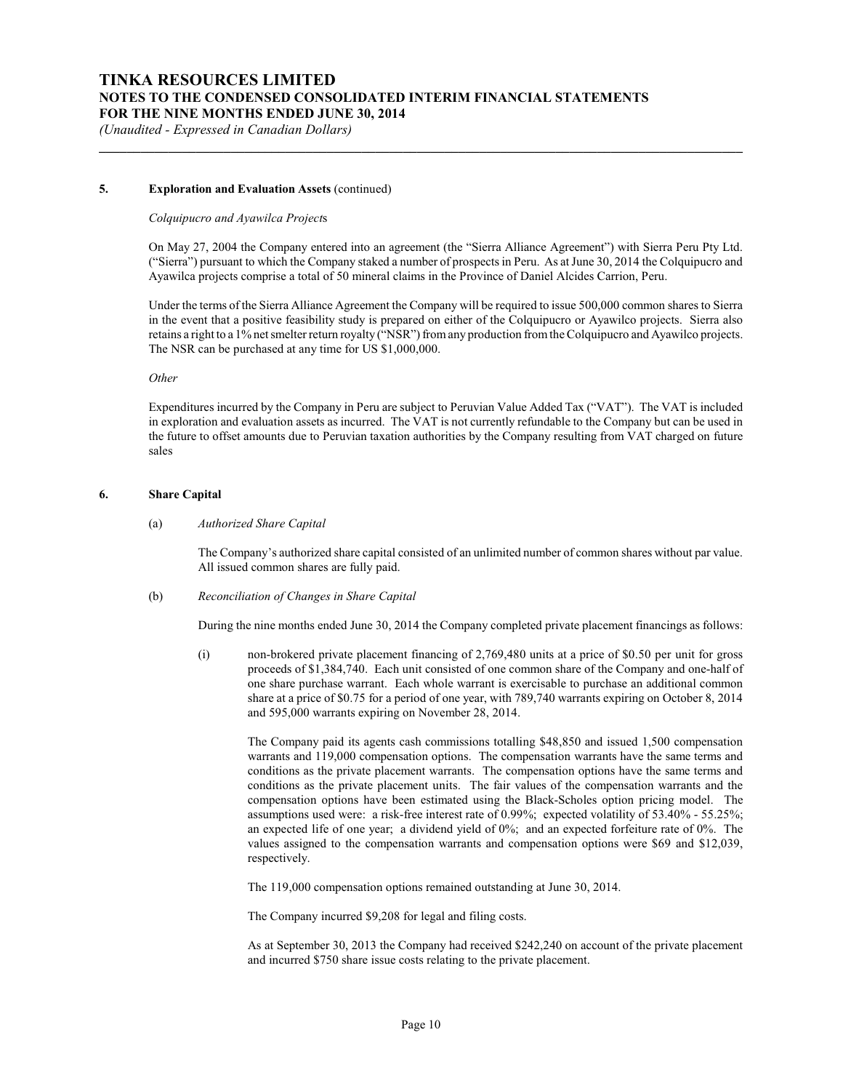#### **5. Exploration and Evaluation Assets** (continued)

#### *Colquipucro and Ayawilca Project*s

On May 27, 2004 the Company entered into an agreement (the "Sierra Alliance Agreement") with Sierra Peru Pty Ltd. ("Sierra") pursuant to which the Company staked a number of prospects in Peru. As at June 30, 2014 the Colquipucro and Ayawilca projects comprise a total of 50 mineral claims in the Province of Daniel Alcides Carrion, Peru.

**\_\_\_\_\_\_\_\_\_\_\_\_\_\_\_\_\_\_\_\_\_\_\_\_\_\_\_\_\_\_\_\_\_\_\_\_\_\_\_\_\_\_\_\_\_\_\_\_\_\_\_\_\_\_\_\_\_\_\_\_\_\_\_\_\_\_\_\_\_\_\_\_\_\_\_\_\_\_\_\_\_\_\_\_\_\_\_\_\_\_\_\_\_**

Under the terms of the Sierra Alliance Agreement the Company will be required to issue 500,000 common shares to Sierra in the event that a positive feasibility study is prepared on either of the Colquipucro or Ayawilco projects. Sierra also retains a right to a 1% net smelter return royalty ("NSR") from any production from the Colquipucro and Ayawilco projects. The NSR can be purchased at any time for US \$1,000,000.

#### *Other*

Expenditures incurred by the Company in Peru are subject to Peruvian Value Added Tax ("VAT"). The VAT is included in exploration and evaluation assets as incurred. The VAT is not currently refundable to the Company but can be used in the future to offset amounts due to Peruvian taxation authorities by the Company resulting from VAT charged on future sales

#### **6. Share Capital**

(a) *Authorized Share Capital*

The Company's authorized share capital consisted of an unlimited number of common shares without par value. All issued common shares are fully paid.

(b) *Reconciliation of Changes in Share Capital*

During the nine months ended June 30, 2014 the Company completed private placement financings as follows:

(i) non-brokered private placement financing of 2,769,480 units at a price of \$0.50 per unit for gross proceeds of \$1,384,740. Each unit consisted of one common share of the Company and one-half of one share purchase warrant. Each whole warrant is exercisable to purchase an additional common share at a price of \$0.75 for a period of one year, with 789,740 warrants expiring on October 8, 2014 and 595,000 warrants expiring on November 28, 2014.

The Company paid its agents cash commissions totalling \$48,850 and issued 1,500 compensation warrants and 119,000 compensation options. The compensation warrants have the same terms and conditions as the private placement warrants. The compensation options have the same terms and conditions as the private placement units. The fair values of the compensation warrants and the compensation options have been estimated using the Black-Scholes option pricing model. The assumptions used were: a risk-free interest rate of 0.99%; expected volatility of 53.40% - 55.25%; an expected life of one year; a dividend yield of  $0\%$ ; and an expected forfeiture rate of  $0\%$ . The values assigned to the compensation warrants and compensation options were \$69 and \$12,039, respectively.

The 119,000 compensation options remained outstanding at June 30, 2014.

The Company incurred \$9,208 for legal and filing costs.

As at September 30, 2013 the Company had received \$242,240 on account of the private placement and incurred \$750 share issue costs relating to the private placement.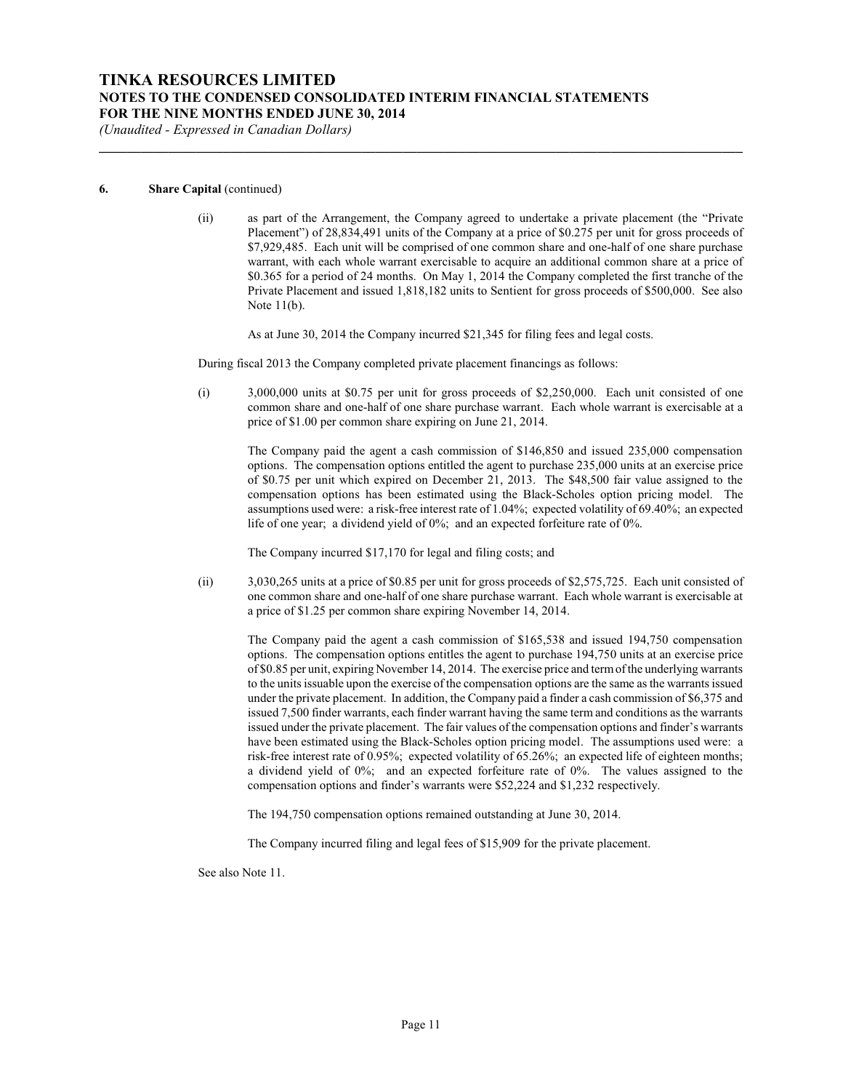# **TINKA RESOURCES LIMITED NOTES TO THE CONDENSED CONSOLIDATED INTERIM FINANCIAL STATEMENTS FOR THE NINE MONTHS ENDED JUNE 30, 2014**

*(Unaudited - Expressed in Canadian Dollars)*

#### **6. Share Capital** (continued)

(ii) as part of the Arrangement, the Company agreed to undertake a private placement (the "Private Placement") of 28,834,491 units of the Company at a price of \$0.275 per unit for gross proceeds of \$7,929,485. Each unit will be comprised of one common share and one-half of one share purchase warrant, with each whole warrant exercisable to acquire an additional common share at a price of \$0.365 for a period of 24 months. On May 1, 2014 the Company completed the first tranche of the Private Placement and issued 1,818,182 units to Sentient for gross proceeds of \$500,000. See also Note 11(b).

As at June 30, 2014 the Company incurred \$21,345 for filing fees and legal costs.

During fiscal 2013 the Company completed private placement financings as follows:

**\_\_\_\_\_\_\_\_\_\_\_\_\_\_\_\_\_\_\_\_\_\_\_\_\_\_\_\_\_\_\_\_\_\_\_\_\_\_\_\_\_\_\_\_\_\_\_\_\_\_\_\_\_\_\_\_\_\_\_\_\_\_\_\_\_\_\_\_\_\_\_\_\_\_\_\_\_\_\_\_\_\_\_\_\_\_\_\_\_\_\_\_\_**

(i) 3,000,000 units at \$0.75 per unit for gross proceeds of \$2,250,000. Each unit consisted of one common share and one-half of one share purchase warrant. Each whole warrant is exercisable at a price of \$1.00 per common share expiring on June 21, 2014.

The Company paid the agent a cash commission of \$146,850 and issued 235,000 compensation options. The compensation options entitled the agent to purchase 235,000 units at an exercise price of \$0.75 per unit which expired on December 21, 2013. The \$48,500 fair value assigned to the compensation options has been estimated using the Black-Scholes option pricing model. The assumptions used were: a risk-free interest rate of 1.04%; expected volatility of 69.40%; an expected life of one year; a dividend yield of 0%; and an expected forfeiture rate of 0%.

The Company incurred \$17,170 for legal and filing costs; and

(ii) 3,030,265 units at a price of \$0.85 per unit for gross proceeds of \$2,575,725. Each unit consisted of one common share and one-half of one share purchase warrant. Each whole warrant is exercisable at a price of \$1.25 per common share expiring November 14, 2014.

The Company paid the agent a cash commission of \$165,538 and issued 194,750 compensation options. The compensation options entitles the agent to purchase 194,750 units at an exercise price of \$0.85 per unit, expiring November 14, 2014. The exercise price and termof the underlying warrants to the units issuable upon the exercise of the compensation options are the same as the warrants issued under the private placement. In addition, the Company paid a finder a cash commission of \$6,375 and issued 7,500 finder warrants, each finder warrant having the same term and conditions as the warrants issued under the private placement. The fair values of the compensation options and finder's warrants have been estimated using the Black-Scholes option pricing model. The assumptions used were: a risk-free interest rate of 0.95%; expected volatility of 65.26%; an expected life of eighteen months; a dividend yield of 0%; and an expected forfeiture rate of 0%. The values assigned to the compensation options and finder's warrants were \$52,224 and \$1,232 respectively.

The 194,750 compensation options remained outstanding at June 30, 2014.

The Company incurred filing and legal fees of \$15,909 for the private placement.

See also Note 11.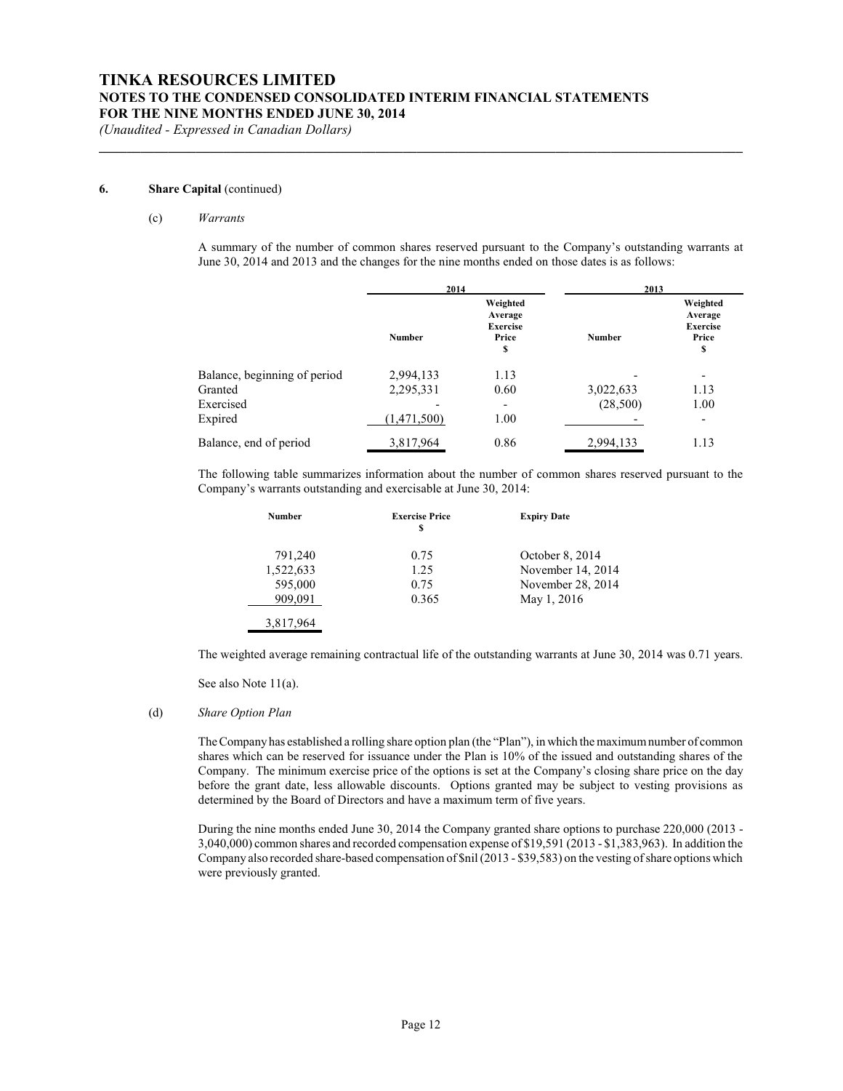**\_\_\_\_\_\_\_\_\_\_\_\_\_\_\_\_\_\_\_\_\_\_\_\_\_\_\_\_\_\_\_\_\_\_\_\_\_\_\_\_\_\_\_\_\_\_\_\_\_\_\_\_\_\_\_\_\_\_\_\_\_\_\_\_\_\_\_\_\_\_\_\_\_\_\_\_\_\_\_\_\_\_\_\_\_\_\_\_\_\_\_\_\_**

*(Unaudited - Expressed in Canadian Dollars)*

#### **6. Share Capital** (continued)

#### (c) *Warrants*

A summary of the number of common shares reserved pursuant to the Company's outstanding warrants at June 30, 2014 and 2013 and the changes for the nine months ended on those dates is as follows:

|                              | 2014          |                                                       | 2013          |                                                       |
|------------------------------|---------------|-------------------------------------------------------|---------------|-------------------------------------------------------|
|                              | <b>Number</b> | Weighted<br>Average<br><b>Exercise</b><br>Price<br>\$ | <b>Number</b> | Weighted<br>Average<br><b>Exercise</b><br>Price<br>\$ |
| Balance, beginning of period | 2,994,133     | 1.13                                                  |               |                                                       |
| Granted                      | 2,295,331     | 0.60                                                  | 3,022,633     | 1.13                                                  |
| Exercised                    |               |                                                       | (28,500)      | 1.00                                                  |
| Expired                      | (1,471,500)   | 1.00                                                  |               | $\overline{\phantom{a}}$                              |
| Balance, end of period       | 3,817,964     | 0.86                                                  | 2,994,133     | 1.13                                                  |

The following table summarizes information about the number of common shares reserved pursuant to the Company's warrants outstanding and exercisable at June 30, 2014:

| <b>Number</b> | <b>Exercise Price</b><br>S | <b>Expiry Date</b> |
|---------------|----------------------------|--------------------|
| 791,240       | 0.75                       | October 8, 2014    |
| 1,522,633     | 1.25                       | November 14, 2014  |
| 595,000       | 0.75                       | November 28, 2014  |
| 909,091       | 0.365                      | May 1, 2016        |
| 3,817,964     |                            |                    |

The weighted average remaining contractual life of the outstanding warrants at June 30, 2014 was 0.71 years.

See also Note 11(a).

#### (d) *Share Option Plan*

The Company has established a rolling share option plan (the "Plan"), in which the maximumnumber of common shares which can be reserved for issuance under the Plan is 10% of the issued and outstanding shares of the Company. The minimum exercise price of the options is set at the Company's closing share price on the day before the grant date, less allowable discounts. Options granted may be subject to vesting provisions as determined by the Board of Directors and have a maximum term of five years.

During the nine months ended June 30, 2014 the Company granted share options to purchase 220,000 (2013 - 3,040,000) common shares and recorded compensation expense of \$19,591 (2013 - \$1,383,963). In addition the Company also recorded share-based compensation of \$nil (2013 - \$39,583) on the vesting of share options which were previously granted.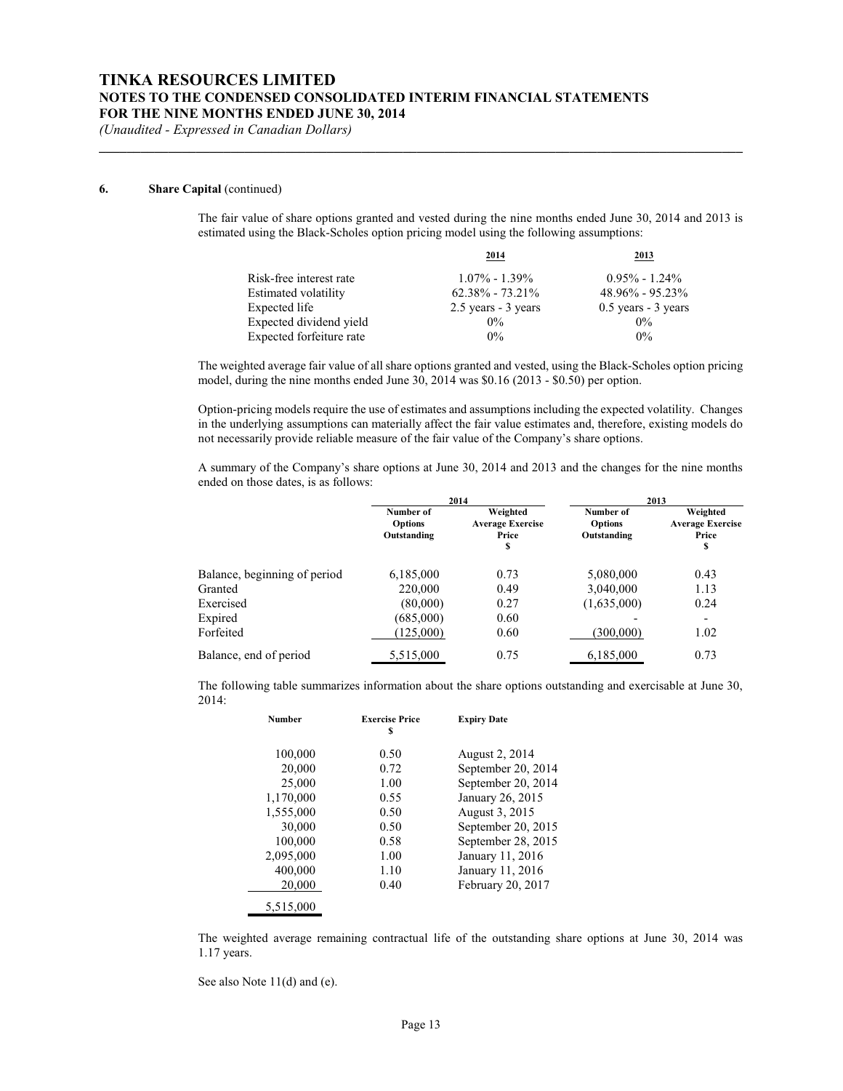**\_\_\_\_\_\_\_\_\_\_\_\_\_\_\_\_\_\_\_\_\_\_\_\_\_\_\_\_\_\_\_\_\_\_\_\_\_\_\_\_\_\_\_\_\_\_\_\_\_\_\_\_\_\_\_\_\_\_\_\_\_\_\_\_\_\_\_\_\_\_\_\_\_\_\_\_\_\_\_\_\_\_\_\_\_\_\_\_\_\_\_\_\_**

*(Unaudited - Expressed in Canadian Dollars)*

#### **6. Share Capital** (continued)

The fair value of share options granted and vested during the nine months ended June 30, 2014 and 2013 is estimated using the Black-Scholes option pricing model using the following assumptions:

|                          | 2014                | 2013                  |
|--------------------------|---------------------|-----------------------|
| Risk-free interest rate  | $1.07\% - 1.39\%$   | $0.95\% - 1.24\%$     |
| Estimated volatility     | $62.38\% - 73.21\%$ | $48.96\% - 95.23\%$   |
| Expected life            | 2.5 years - 3 years | $0.5$ years - 3 years |
| Expected dividend yield  | $0\%$               | $0\%$                 |
| Expected forfeiture rate | $0\%$               | $0\%$                 |

The weighted average fair value of all share options granted and vested, using the Black-Scholes option pricing model, during the nine months ended June 30, 2014 was \$0.16 (2013 - \$0.50) per option.

Option-pricing models require the use of estimates and assumptions including the expected volatility. Changes in the underlying assumptions can materially affect the fair value estimates and, therefore, existing models do not necessarily provide reliable measure of the fair value of the Company's share options.

A summary of the Company's share options at June 30, 2014 and 2013 and the changes for the nine months ended on those dates, is as follows:

|                              |                                            | 2014                                               | 2013                                       |                                                    |  |
|------------------------------|--------------------------------------------|----------------------------------------------------|--------------------------------------------|----------------------------------------------------|--|
|                              | Number of<br><b>Options</b><br>Outstanding | Weighted<br><b>Average Exercise</b><br>Price<br>\$ | Number of<br><b>Options</b><br>Outstanding | Weighted<br><b>Average Exercise</b><br>Price<br>\$ |  |
| Balance, beginning of period | 6,185,000                                  | 0.73                                               | 5,080,000                                  | 0.43                                               |  |
| Granted                      | 220,000                                    | 0.49                                               | 3,040,000                                  | 1.13                                               |  |
| Exercised                    | (80,000)                                   | 0.27                                               | (1,635,000)                                | 0.24                                               |  |
| Expired                      | (685,000)                                  | 0.60                                               |                                            | $\overline{\phantom{0}}$                           |  |
| Forfeited                    | (125,000)                                  | 0.60                                               | (300,000)                                  | 1.02                                               |  |
| Balance, end of period       | 5,515,000                                  | 0.75                                               | 6,185,000                                  | 0.73                                               |  |

The following table summarizes information about the share options outstanding and exercisable at June 30, 2014:

| <b>Number</b> | <b>Exercise Price</b><br>S | <b>Expiry Date</b>    |
|---------------|----------------------------|-----------------------|
| 100,000       | 0.50                       | <b>August 2, 2014</b> |
| 20,000        | 0.72                       | September 20, 2014    |
| 25,000        | 1.00                       | September 20, 2014    |
| 1,170,000     | 0.55                       | January 26, 2015      |
| 1,555,000     | 0.50                       | August 3, 2015        |
| 30,000        | 0.50                       | September 20, 2015    |
| 100,000       | 0.58                       | September 28, 2015    |
| 2,095,000     | 1.00                       | January 11, 2016      |
| 400,000       | 1.10                       | January 11, 2016      |
| 20,000        | 0.40                       | February 20, 2017     |
| 5.515,000     |                            |                       |

The weighted average remaining contractual life of the outstanding share options at June 30, 2014 was 1.17 years.

See also Note 11(d) and (e).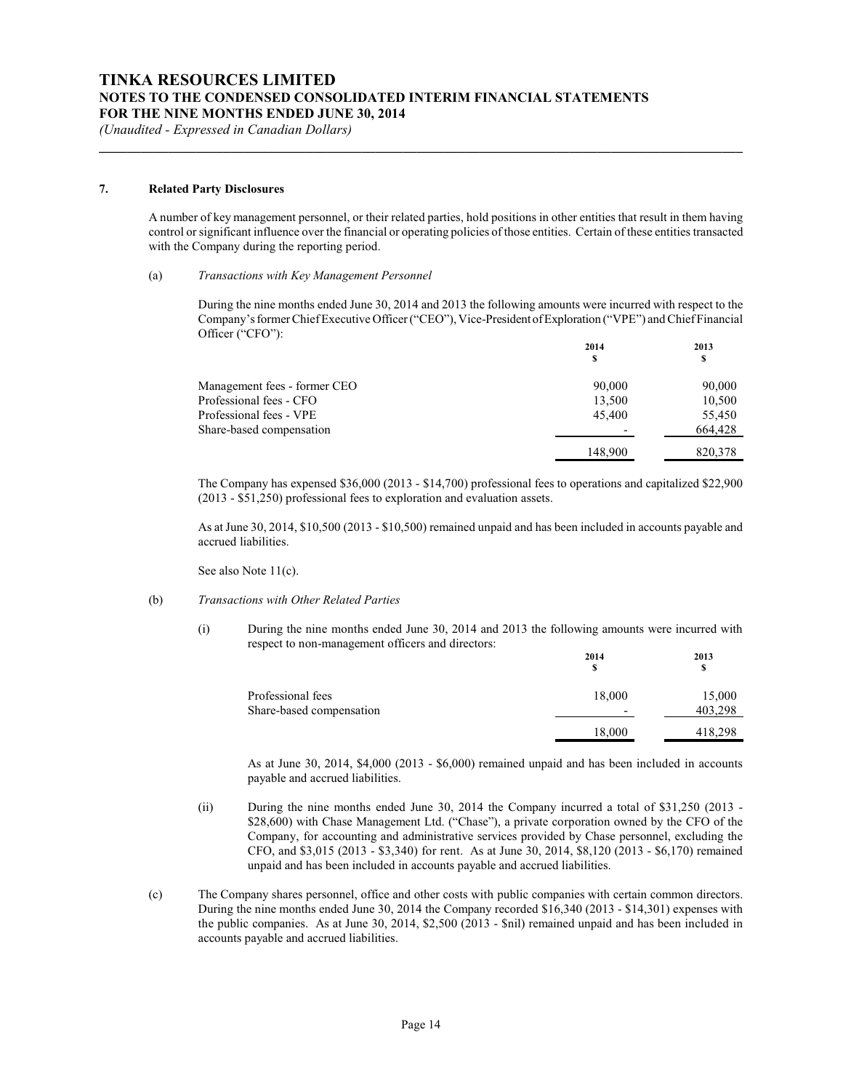#### **7. Related Party Disclosures**

A number of key management personnel, or their related parties, hold positions in other entities that result in them having control or significant influence over the financial or operating policies of those entities. Certain of these entities transacted with the Company during the reporting period.

**\_\_\_\_\_\_\_\_\_\_\_\_\_\_\_\_\_\_\_\_\_\_\_\_\_\_\_\_\_\_\_\_\_\_\_\_\_\_\_\_\_\_\_\_\_\_\_\_\_\_\_\_\_\_\_\_\_\_\_\_\_\_\_\_\_\_\_\_\_\_\_\_\_\_\_\_\_\_\_\_\_\_\_\_\_\_\_\_\_\_\_\_\_**

#### (a) *Transactions with Key Management Personnel*

During the nine months ended June 30, 2014 and 2013 the following amounts were incurred with respect to the Company'sformer Chief Executive Officer ("CEO"), Vice-President ofExploration ("VPE") and Chief Financial Officer ("CFO"):

|                              | 2014    | 2013    |
|------------------------------|---------|---------|
|                              | \$      | S       |
| Management fees - former CEO | 90,000  | 90,000  |
| Professional fees - CFO      | 13,500  | 10,500  |
| Professional fees - VPE      | 45,400  | 55.450  |
| Share-based compensation     |         | 664.428 |
|                              | 148,900 | 820,378 |
|                              |         |         |

The Company has expensed \$36,000 (2013 - \$14,700) professional fees to operations and capitalized \$22,900 (2013 - \$51,250) professional fees to exploration and evaluation assets.

As at June 30, 2014, \$10,500 (2013 - \$10,500) remained unpaid and has been included in accounts payable and accrued liabilities.

See also Note 11(c).

#### (b) *Transactions with Other Related Parties*

(i) During the nine months ended June 30, 2014 and 2013 the following amounts were incurred with respect to non-management officers and directors:

|                          | 2014<br>s                | 2013<br>s |
|--------------------------|--------------------------|-----------|
| Professional fees        | 18,000                   | 15,000    |
| Share-based compensation | $\overline{\phantom{0}}$ | 403,298   |
|                          | 18,000                   | 418,298   |

As at June 30, 2014, \$4,000 (2013 - \$6,000) remained unpaid and has been included in accounts payable and accrued liabilities.

- (ii) During the nine months ended June 30, 2014 the Company incurred a total of \$31,250 (2013 \$28,600) with Chase Management Ltd. ("Chase"), a private corporation owned by the CFO of the Company, for accounting and administrative services provided by Chase personnel, excluding the CFO, and \$3,015 (2013 - \$3,340) for rent. As at June 30, 2014, \$8,120 (2013 - \$6,170) remained unpaid and has been included in accounts payable and accrued liabilities.
- (c) The Company shares personnel, office and other costs with public companies with certain common directors. During the nine months ended June 30, 2014 the Company recorded \$16,340 (2013 - \$14,301) expenses with the public companies. As at June 30, 2014, \$2,500 (2013 - \$nil) remained unpaid and has been included in accounts payable and accrued liabilities.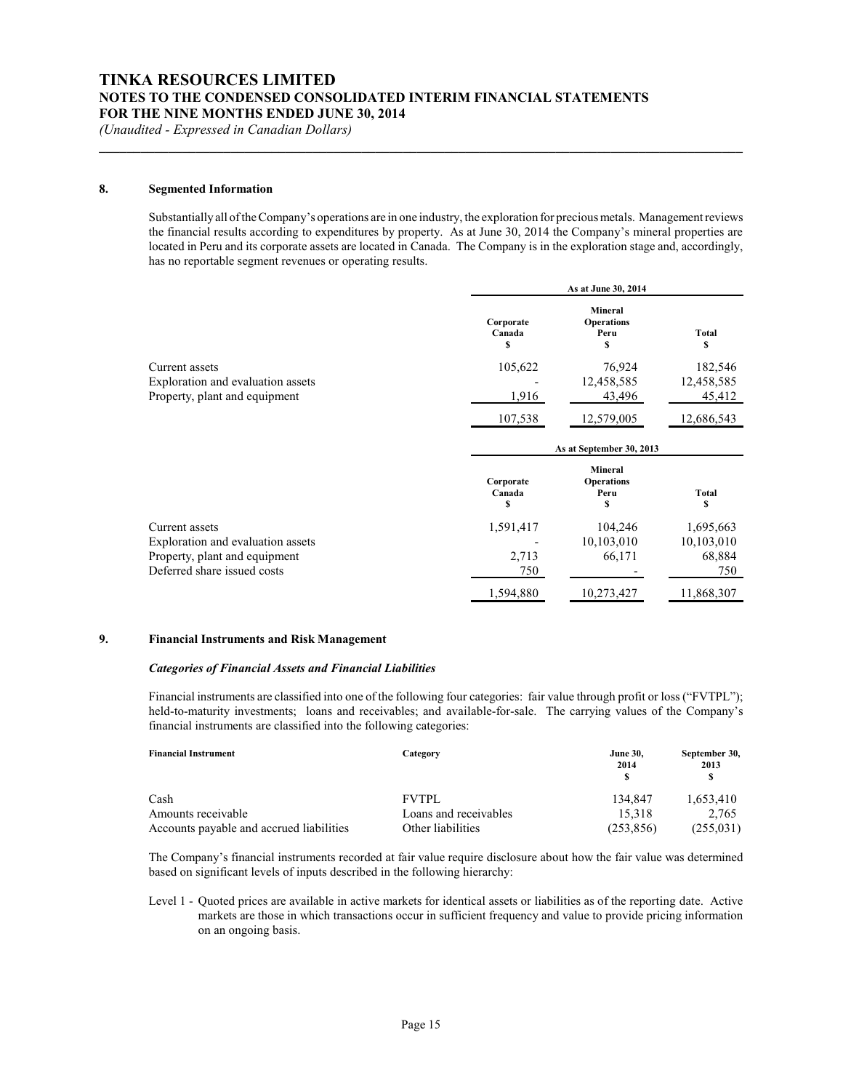#### **8. Segmented Information**

Substantially all of the Company's operations are in one industry, the exploration for precious metals. Management reviews the financial results according to expenditures by property. As at June 30, 2014 the Company's mineral properties are located in Peru and its corporate assets are located in Canada. The Company is in the exploration stage and, accordingly, has no reportable segment revenues or operating results.

**\_\_\_\_\_\_\_\_\_\_\_\_\_\_\_\_\_\_\_\_\_\_\_\_\_\_\_\_\_\_\_\_\_\_\_\_\_\_\_\_\_\_\_\_\_\_\_\_\_\_\_\_\_\_\_\_\_\_\_\_\_\_\_\_\_\_\_\_\_\_\_\_\_\_\_\_\_\_\_\_\_\_\_\_\_\_\_\_\_\_\_\_\_**

|                                                                                      | As at June 30, 2014                          |                                            |                                 |  |
|--------------------------------------------------------------------------------------|----------------------------------------------|--------------------------------------------|---------------------------------|--|
|                                                                                      | Corporate<br>Canada<br>\$                    | Mineral<br><b>Operations</b><br>Peru<br>\$ | Total<br>\$                     |  |
| Current assets<br>Exploration and evaluation assets<br>Property, plant and equipment | 105,622<br>$\overline{\phantom{a}}$<br>1,916 | 76.924<br>12,458,585<br>43,496             | 182,546<br>12,458,585<br>45,412 |  |
|                                                                                      | 107,538                                      | 12,579,005                                 | 12,686,543                      |  |

|                                   | As at September 30, 2013 |                                                  |            |
|-----------------------------------|--------------------------|--------------------------------------------------|------------|
|                                   | Corporate<br>Canada<br>S | <b>Mineral</b><br><b>Operations</b><br>Peru<br>S | Total<br>s |
| Current assets                    | 1,591,417                | 104.246                                          | 1,695,663  |
| Exploration and evaluation assets |                          | 10,103,010                                       | 10,103,010 |
| Property, plant and equipment     | 2,713                    | 66,171                                           | 68,884     |
| Deferred share issued costs       | 750                      |                                                  | 750        |
|                                   | 1,594,880                | 10,273,427                                       | 11,868,307 |

#### **9. Financial Instruments and Risk Management**

#### *Categories of Financial Assets and Financial Liabilities*

Financial instruments are classified into one of the following four categories: fair value through profit or loss ("FVTPL"); held-to-maturity investments; loans and receivables; and available-for-sale. The carrying values of the Company's financial instruments are classified into the following categories:

| <b>Financial Instrument</b>              | Category              | <b>June 30.</b><br>2014 | September 30,<br>2013 |
|------------------------------------------|-----------------------|-------------------------|-----------------------|
| Cash                                     | <b>FVTPL</b>          | 134.847                 | 1,653,410             |
| Amounts receivable                       | Loans and receivables | 15.318                  | 2.765                 |
| Accounts payable and accrued liabilities | Other liabilities     | (253, 856)              | (255, 031)            |

The Company's financial instruments recorded at fair value require disclosure about how the fair value was determined based on significant levels of inputs described in the following hierarchy:

Level 1 - Quoted prices are available in active markets for identical assets or liabilities as of the reporting date. Active markets are those in which transactions occur in sufficient frequency and value to provide pricing information on an ongoing basis.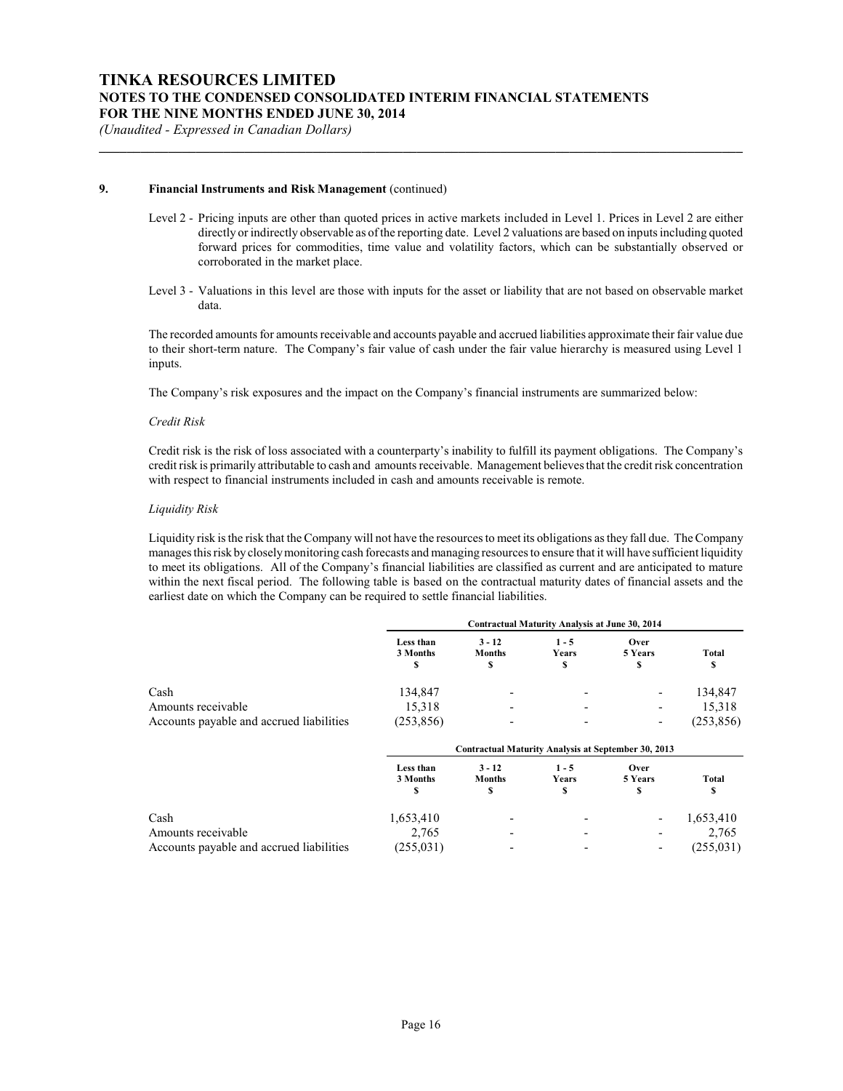#### **9. Financial Instruments and Risk Management** (continued)

Level 2 - Pricing inputs are other than quoted prices in active markets included in Level 1. Prices in Level 2 are either directly or indirectly observable as of the reporting date. Level 2 valuations are based on inputs including quoted forward prices for commodities, time value and volatility factors, which can be substantially observed or corroborated in the market place.

**\_\_\_\_\_\_\_\_\_\_\_\_\_\_\_\_\_\_\_\_\_\_\_\_\_\_\_\_\_\_\_\_\_\_\_\_\_\_\_\_\_\_\_\_\_\_\_\_\_\_\_\_\_\_\_\_\_\_\_\_\_\_\_\_\_\_\_\_\_\_\_\_\_\_\_\_\_\_\_\_\_\_\_\_\_\_\_\_\_\_\_\_\_**

Level 3 - Valuations in this level are those with inputs for the asset or liability that are not based on observable market data.

The recorded amounts for amounts receivable and accounts payable and accrued liabilities approximate their fair value due to their short-term nature. The Company's fair value of cash under the fair value hierarchy is measured using Level 1 inputs.

The Company's risk exposures and the impact on the Company's financial instruments are summarized below:

#### *Credit Risk*

Credit risk is the risk of loss associated with a counterparty's inability to fulfill its payment obligations. The Company's credit risk is primarily attributable to cash and amounts receivable. Management believes that the credit risk concentration with respect to financial instruments included in cash and amounts receivable is remote.

#### *Liquidity Risk*

Liquidity risk is the risk that the Company will not have the resources to meet its obligations as they fall due. The Company manages this risk by closelymonitoring cash forecasts and managing resources to ensure that it will have sufficient liquidity to meet its obligations. All of the Company's financial liabilities are classified as current and are anticipated to mature within the next fiscal period. The following table is based on the contractual maturity dates of financial assets and the earliest date on which the Company can be required to settle financial liabilities.

|                                          | Contractual Maturity Analysis at June 30, 2014 |                                                     |                        |                          |             |
|------------------------------------------|------------------------------------------------|-----------------------------------------------------|------------------------|--------------------------|-------------|
|                                          | Less than<br>3 Months<br>S                     | $3 - 12$<br><b>Months</b><br>\$                     | $1 - 5$<br>Years<br>\$ | Over<br>5 Years<br>\$    | Total<br>\$ |
| Cash                                     | 134,847                                        |                                                     |                        |                          | 134,847     |
| Amounts receivable                       | 15,318                                         |                                                     |                        |                          | 15,318      |
| Accounts payable and accrued liabilities | (253, 856)                                     |                                                     |                        | $\overline{\phantom{a}}$ | (253, 856)  |
|                                          |                                                | Contractual Maturity Analysis at September 30, 2013 |                        |                          |             |
|                                          | Less than<br>3 Months<br>\$                    | $3 - 12$<br><b>Months</b><br>\$                     | $1 - 5$<br>Years<br>\$ | Over<br>5 Years<br>\$    | Total<br>\$ |
| Cash                                     | 1,653,410                                      |                                                     |                        |                          | 1,653,410   |
| Amounts receivable                       | 2,765                                          |                                                     |                        |                          | 2,765       |
| Accounts payable and accrued liabilities | (255, 031)                                     |                                                     |                        |                          | (255, 031)  |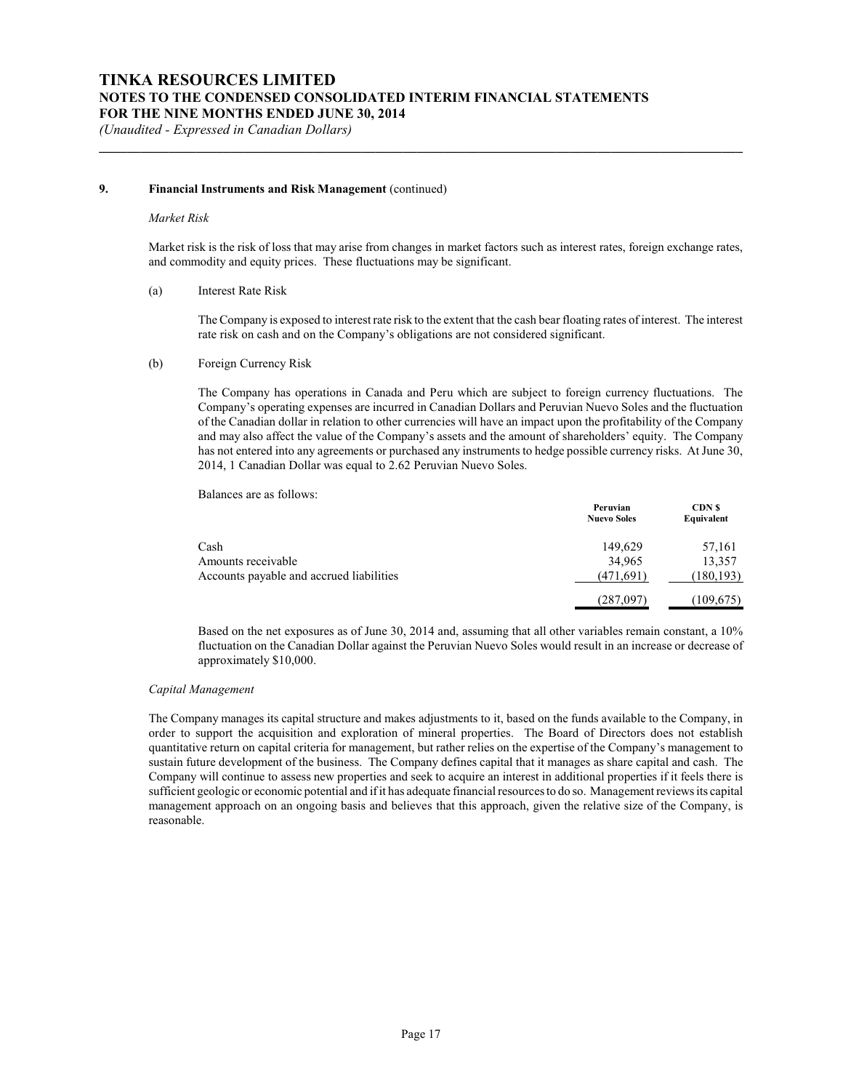#### **9. Financial Instruments and Risk Management** (continued)

#### *Market Risk*

Market risk is the risk of loss that may arise from changes in market factors such as interest rates, foreign exchange rates, and commodity and equity prices. These fluctuations may be significant.

**\_\_\_\_\_\_\_\_\_\_\_\_\_\_\_\_\_\_\_\_\_\_\_\_\_\_\_\_\_\_\_\_\_\_\_\_\_\_\_\_\_\_\_\_\_\_\_\_\_\_\_\_\_\_\_\_\_\_\_\_\_\_\_\_\_\_\_\_\_\_\_\_\_\_\_\_\_\_\_\_\_\_\_\_\_\_\_\_\_\_\_\_\_**

#### (a) Interest Rate Risk

The Company is exposed to interest rate risk to the extent that the cash bear floating rates of interest. The interest rate risk on cash and on the Company's obligations are not considered significant.

#### (b) Foreign Currency Risk

The Company has operations in Canada and Peru which are subject to foreign currency fluctuations. The Company's operating expenses are incurred in Canadian Dollars and Peruvian Nuevo Soles and the fluctuation of the Canadian dollar in relation to other currencies will have an impact upon the profitability of the Company and may also affect the value of the Company's assets and the amount of shareholders' equity. The Company has not entered into any agreements or purchased any instruments to hedge possible currency risks. At June 30, 2014, 1 Canadian Dollar was equal to 2.62 Peruvian Nuevo Soles.

Balances are as follows:

|                                          | Peruvian<br><b>Nuevo Soles</b> | <b>CDN</b> \$<br>Equivalent |
|------------------------------------------|--------------------------------|-----------------------------|
| Cash                                     | 149,629                        | 57,161                      |
| Amounts receivable                       | 34,965                         | 13,357                      |
| Accounts payable and accrued liabilities | (471,691)                      | (180, 193)                  |
|                                          | (287,097)                      | (109, 675)                  |

Based on the net exposures as of June 30, 2014 and, assuming that all other variables remain constant, a 10% fluctuation on the Canadian Dollar against the Peruvian Nuevo Soles would result in an increase or decrease of approximately \$10,000.

#### *Capital Management*

The Company manages its capital structure and makes adjustments to it, based on the funds available to the Company, in order to support the acquisition and exploration of mineral properties. The Board of Directors does not establish quantitative return on capital criteria for management, but rather relies on the expertise of the Company's management to sustain future development of the business. The Company defines capital that it manages as share capital and cash. The Company will continue to assess new properties and seek to acquire an interest in additional properties if it feels there is sufficient geologic or economic potential and if it has adequate financial resources to do so. Management reviews its capital management approach on an ongoing basis and believes that this approach, given the relative size of the Company, is reasonable.